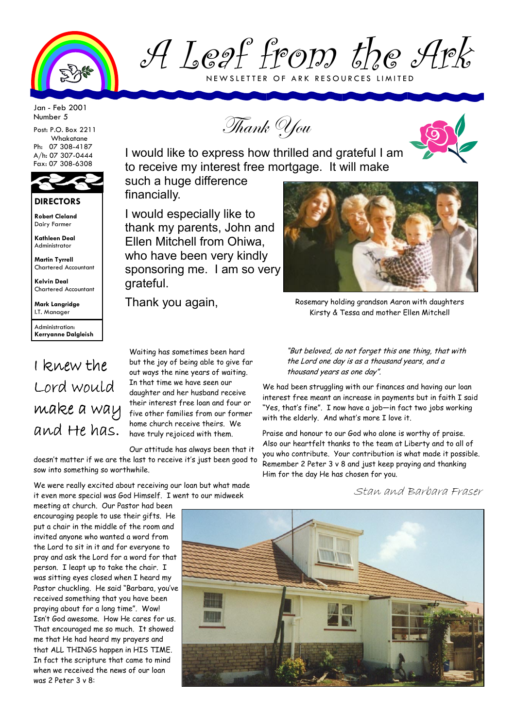

A Leaf from the Ark NEWSLETTER OF ARK RESOURCES LIMITED

Jan - Feb 2001 Number 5

Post: P.O. Box 2211 Whakatane Ph: 07 308-4187 A/h: 07 307-0444 Fax: 07 308-6308



**Robert Cleland**  Dairy Farmer

**Kathleen Deal**  Administrator

**Martin Tyrrell**  Chartered Accountant

**Kelvin Deal**  Chartered Accountant

**Mark Langridge**  I.T. Manager

Administration: **Kerryanne Dalgleish** 

## I knew the Lord would make a way and He has.

Thank You

I would like to express how thrilled and grateful I am to receive my interest free mortgage. It will make

such a huge difference financially.

I would especially like to thank my parents, John and Ellen Mitchell from Ohiwa, who have been very kindly sponsoring me. I am so very grateful.

Waiting has sometimes been hard but the joy of being able to give far out ways the nine years of waiting. In that time we have seen our daughter and her husband receive their interest free loan and four or five other families from our former home church receive theirs. We have truly rejoiced with them.

Our attitude has always been that it doesn't matter if we are the last to receive it's just been good to sow into something so worthwhile.

We were really excited about receiving our loan but what made it even more special was God Himself. I went to our midweek

meeting at church. Our Pastor had been encouraging people to use their gifts. He put a chair in the middle of the room and invited anyone who wanted a word from the Lord to sit in it and for everyone to pray and ask the Lord for a word for that person. I leapt up to take the chair. I was sitting eyes closed when I heard my Pastor chuckling. He said "Barbara, you've received something that you have been praying about for a long time". Wow! Isn't God awesome. How He cares for us. That encouraged me so much. It showed me that He had heard my prayers and that ALL THINGS happen in HIS TIME. In fact the scripture that came to mind when we received the news of our loan was 2 Peter 3 v 8:



Thank you again, Rosemary holding grandson Aaron with daughters Kirsty & Tessa and mother Ellen Mitchell

"But beloved, do not forget this one thing, that with the Lord one day is as a thousand years, and a thousand years as one day".

We had been struggling with our finances and having our loan interest free meant an increase in payments but in faith I said "Yes, that's fine". I now have a job—in fact two jobs working with the elderly. And what's more I love it.

Praise and honour to our God who alone is worthy of praise. Also our heartfelt thanks to the team at Liberty and to all of you who contribute. Your contribution is what made it possible. Remember 2 Peter 3 v 8 and just keep praying and thanking Him for the day He has chosen for you.

Stan and Barbara Fraser